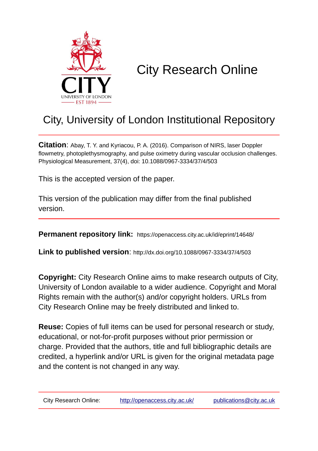

# City Research Online

## City, University of London Institutional Repository

**Citation**: Abay, T. Y. and Kyriacou, P. A. (2016). Comparison of NIRS, laser Doppler flowmetry, photoplethysmography, and pulse oximetry during vascular occlusion challenges. Physiological Measurement, 37(4), doi: 10.1088/0967-3334/37/4/503

This is the accepted version of the paper.

This version of the publication may differ from the final published version.

**Permanent repository link:** https://openaccess.city.ac.uk/id/eprint/14648/

**Link to published version**: http://dx.doi.org/10.1088/0967-3334/37/4/503

**Copyright:** City Research Online aims to make research outputs of City, University of London available to a wider audience. Copyright and Moral Rights remain with the author(s) and/or copyright holders. URLs from City Research Online may be freely distributed and linked to.

**Reuse:** Copies of full items can be used for personal research or study, educational, or not-for-profit purposes without prior permission or charge. Provided that the authors, title and full bibliographic details are credited, a hyperlink and/or URL is given for the original metadata page and the content is not changed in any way.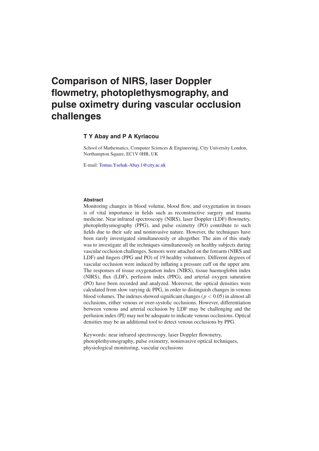### **Comparison of NIRS, laser Doppler flowmetry, photoplethysmography, and pulse oximetry during vascular occlusion challenges**

#### **T Y Abay and P A Kyriacou**

School of Mathematics, Computer Sciences & Engineering, City University London, Northampton Square, EC1V 0HB, UK

E-mail: [Tomas.Ysehak-Abay.1@city.ac.uk](mailto:Tomas.Ysehak-Abay.1@city.ac.uk)

#### **Abstract**

Monitoring changes in blood volume, blood flow, and oxygenation in tissues is of vital importance in fields such as reconstructive surgery and trauma medicine. Near infrared spectroscopy (NIRS), laser Doppler (LDF) flowmetry, photoplethysmography (PPG), and pulse oximetry (PO) contribute to such fields due to their safe and noninvasive nature. However, the techniques have been rarely investigated simultaneously or altogether. The aim of this study was to investigate all the techniques simultaneously on healthy subjects during vascular occlusion challenges. Sensors were attached on the forearm (NIRS and LDF) and fingers (PPG and PO) of 19 healthy volunteers. Different degrees of vascular occlusion were induced by inflating a pressure cuff on the upper arm. The responses of tissue oxygenation index (NIRS), tissue haemoglobin index (NIRS), flux (LDF), perfusion index (PPG), and arterial oxygen saturation (PO) have been recorded and analyzed. Moreover, the optical densities were calculated from slow varying dc PPG, in order to distinguish changes in venous blood volumes. The indexes showed significant changes ( $p < 0.05$ ) in almost all occlusions, either venous or over-systolic occlusions. However, differentiation between venous and arterial occlusion by LDF may be challenging and the perfusion index (PI) may not be adequate to indicate venous occlusions. Optical densities may be an additional tool to detect venous occlusions by PPG.

Keywords: near infrared spectroscopy, laser Doppler flowmetry, photoplethysmography, pulse oximetry, noninvasive optical techniques, physiological monitoring, vascular occlusions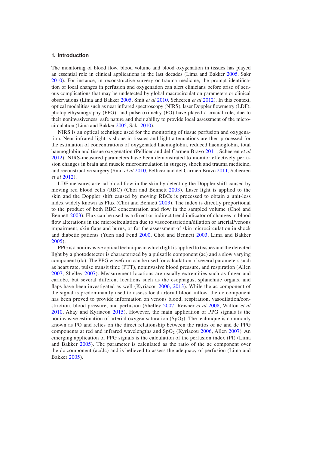#### **1. Introduction**

The monitoring of blood flow, blood volume and blood oxygenation in tissues has played an essential role in clinical applications in the last decades (Lima and Bakker [2005](#page-12-1), Sakr [2010](#page-12-2)). For instance, in reconstructive surgery or trauma medicine, the prompt identification of local changes in perfusion and oxygenation can alert clinicians before arise of serious complications that may be undetected by global macrocirculation parameters or clinical observations (Lima and Bakker [2005](#page-12-1), Smit *et al* [2010](#page-12-3), Scheeren *et al* [2012\)](#page-12-4). In this context, optical modalities such as near infrared spectroscopy (NIRS), laser Doppler flowmetry (LDF), photoplethysmography (PPG), and pulse oximetry (PO) have played a crucial role, due to their noninvasiveness, safe nature and their ability to provide local assessment of the microcirculation (Lima and Bakker [2005](#page-12-1), Sakr [2010](#page-12-2)).

NIRS is an optical technique used for the monitoring of tissue perfusion and oxygenation. Near infrared light is shone in tissues and light attenuations are then processed for the estimation of concentrations of oxygenated haemoglobin, reduced haemoglobin, total haemoglobin and tissue oxygenation (Pellicer and del Carmen Bravo [2011](#page-12-5), Scheeren *et al* [2012\)](#page-12-4). NIRS-measured parameters have been demonstrated to monitor effectively perfusion changes in brain and muscle microcirculation in surgery, shock and trauma medicine, and reconstructive surgery (Smit *et al* [2010](#page-12-3), Pellicer and del Carmen Bravo [2011](#page-12-5), Scheeren *et al* [2012\)](#page-12-4).

LDF measures arterial blood flow in the skin by detecting the Doppler shift caused by moving red blood cells (RBC) (Choi and Bennett [2003](#page-12-6)). Laser light is applied to the skin and the Doppler shift caused by moving RBCs is processed to obtain a unit-less index widely known as Flux (Choi and Bennett [2003\)](#page-12-6). The index is directly proportional to the product of both RBC concentration and flow in the sampled volume (Choi and Bennett [2003\)](#page-12-6). Flux can be used as a direct or indirect trend indicator of changes in blood flow alterations in the microcirculation due to vasoconstriction/dilation or arterial/venous impairment, skin flaps and burns, or for the assessment of skin microcirculation in shock and diabetic patients (Yuen and Fend [2000](#page-12-7), Choi and Bennett [2003](#page-12-6), Lima and Bakker [2005\)](#page-12-1).

PPG is a noninvasive optical technique in which light is applied to tissues and the detected light by a photodetector is characterized by a pulsatile component (ac) and a slow varying component (dc). The PPG waveform can be used for calculation of several parameters such as heart rate, pulse transit time (PTT), noninvasive blood pressure, and respiration (Allen [2007,](#page-11-0) Shelley [2007\)](#page-12-8). Measurement locations are usually extremities such as finger and earlobe, but several different locations such as the esophagus, splanchnic organs, and flaps have been investigated as well (Kyriacou [2006, 2013\)](#page-12-9). While the ac component of the signal is predominantly used to assess local arterial blood inflow, the dc component has been proved to provide information on venous blood, respiration, vasodilation/constriction, blood pressure, and perfusion (Shelley [2007](#page-12-8), Reisner *et al* [2008](#page-12-10), Walton *et al* [2010,](#page-12-11) Abay and Kyriacou [2015](#page-11-1)). However, the main application of PPG signals is the noninvasive estimation of arterial oxygen saturation  $(SpO<sub>2</sub>)$ . The technique is commonly known as PO and relies on the direct relationship between the ratios of ac and dc PPG components at red and infrared wavelengths and  $SpO<sub>2</sub>$  (Kyriacou [2006](#page-12-9), Allen [2007\)](#page-11-0). An emerging application of PPG signals is the calculation of the perfusion index (PI) (Lima and Bakker [2005\)](#page-12-1). The parameter is calculated as the ratio of the ac component over the dc component (ac/dc) and is believed to assess the adequacy of perfusion (Lima and Bakker [2005](#page-12-1)).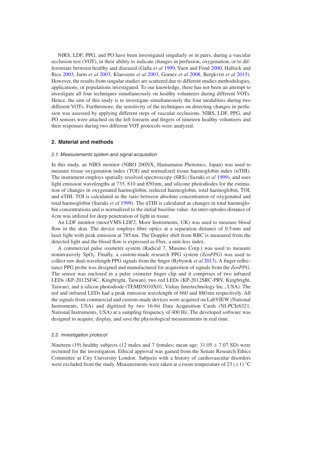NIRS, LDF, PPG, and PO have been investigated singularly or in pairs, during a vascular occlusion test (VOT), in their ability to indicate changes in perfusion, oxygenation, or to differentiate between healthy and diseased (Galla *et al* [1999,](#page-12-12) Yuen and Fend [2000,](#page-12-7) Hallock and Rice [2003](#page-12-13), Jarm *et al* [2003](#page-12-14), Klaessens *et al* [2003,](#page-12-15) Gomez *et al* [2008](#page-12-16), Bergkvist *et al* [2015](#page-11-2)). However, the results from singular studies are scattered due to different studies methodologies, applications, or populations investigated. To our knowledge, there has not been an attempt to investigate all four techniques simultaneously on healthy volunteers during different VOTs. Hence, the aim of this study is to investigate simultaneously the four modalities during two different VOTs. Furthermore, the sensitivity of the techniques on detecting changes in perfusion was assessed by applying different steps of vascular occlusions. NIRS, LDF, PPG, and PO sensors were attached on the left forearm and fingers of nineteen healthy volunteers and their responses during two different VOT protocols were analyzed.

#### **2. Material and methods**

#### *2.1. Measurements system and signal acquisition*

In this study, an NIRS monitor (NIRO 200NX, Hamamatsu Photonics, Japan) was used to measure tissue oxygenation index (TOI) and normalized tissue haemoglobin index (nTHI). The instrument employs spatially resolved spectroscopy (SRS) (Suzuki *et al* [1999](#page-12-17)), and uses light emission wavelengths at 735, 810 and 850 nm, and silicone photodiodes for the estimation of changes in oxygenated haemoglobin, reduced haemoglobin, total haemoglobin, TOI, and nTHI. TOI is calculated as the ratio between absolute concentration of oxygenated and total haemoglobin (Suzuki *et al* [1999](#page-12-17)). The nTHI is calculated as changes in total haemoglobin concentrations and is normalized to the initial baseline value. An inter-optodes distance of 4cm was utilized for deep penetration of light in tissue.

An LDF monitor (moorVMS-LDF2, Moor Instruments, UK) was used to measure blood flow in the skin. The device employs fibre optics at a separation distance of 0.5mm and laser light with peak emission at 785nm. The Doppler shift from RBC is measured from the detected light and the blood flow is expressed as Flux, a unit-less index.

A commercial pulse oximeter system (Radical 7, Masimo Corp.) was used to measure noninvasively SpO2. Finally, a custom-made research PPG system (*ZenPPG*) was used to collect raw dual-wavelength PPG signals from the finger (Rybynok *et al* [2013\)](#page-12-18). A finger reflectance PPG probe was designed and manufactured for acquisition of signals from the *ZenPPG*. The sensor was enclosed in a pulse oximeter finger clip and it comprises of two infrared LEDs (KP-2012SF4C, Kingbright, Taiwan), two red LEDs (KP-2012SRC-PRV, Kingbright, Taiwan), and a silicon photodiode (TEMD5010X01, Vishay Intertechnology Inc., USA). The red and infrared LEDs had a peak emission wavelength of 660 and 880 nm respectively. All the signals from commercial and custom-made devices were acquired on LabVIEW (National Instruments, USA) and digitized by two 16-bit Data Acquisition Cards (NI-PCIe6321, National Instruments, USA) at a sampling frequency of 400 Hz. The developed software was designed to acquire, display, and save the physiological measurements in real time.

#### *2.2. Investigation protocol*

Nineteen (19) healthy subjects (12 males and 7 females; mean age:  $31.05 \pm 7.07$  SD) were recruited for the investigation. Ethical approval was gained from the Senate Research Ethics Committee at City University London. Subjects with a history of cardiovascular disorders were excluded from the study. Measurements were taken at a room temperature of 23  $(\pm 1)$  °C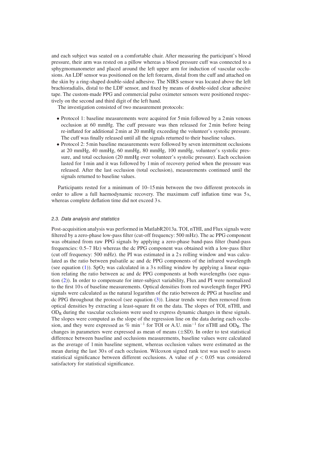and each subject was seated on a comfortable chair. After measuring the participant's blood pressure, their arm was rested on a pillow whereas a blood pressure cuff was connected to a sphygmomanometer and placed around the left upper arm for induction of vascular occlusions. An LDF sensor was positioned on the left forearm, distal from the cuff and attached on the skin by a ring-shaped double-sided adhesive. The NIRS sensor was located above the left brachioradialis, distal to the LDF sensor, and fixed by means of double-sided clear adhesive tape. The custom-made PPG and commercial pulse oximeter sensors were positioned respectively on the second and third digit of the left hand.

The investigation consisted of two measurement protocols:

- Protocol 1: baseline measurements were acquired for 5 min followed by a 2 min venous occlusion at 60 mmHg. The cuff pressure was then released for 2min before being re-inflated for additional 2min at 20 mmHg exceeding the volunteer's systolic pressure. The cuff was finally released until all the signals returned to their baseline values.
- Protocol 2: 5min baseline measurements were followed by seven intermittent occlusions at 20 mmHg, 40 mmHg, 60 mmHg, 80 mmHg, 100 mmHg, volunteer's systolic pressure, and total occlusion (20 mmHg over volunteer's systolic pressure). Each occlusion lasted for 1min and it was followed by 1min of recovery period when the pressure was released. After the last occlusion (total occlusion), measurements continued until the signals returned to baseline values.

Participants rested for a minimum of 10–15min between the two different protocols in order to allow a full haemodynamic recovery. The maximum cuff inflation time was 5s, whereas complete deflation time did not exceed 3s.

#### *2.3. Data analysis and statistics*

Post-acquisition analysis was performed in MatlabR2013a. TOI, nTHI, and Flux signals were filtered by a zero-phase low-pass filter (cut-off frequency: 500 mHz). The ac PPG component was obtained from raw PPG signals by applying a zero-phase band-pass filter (band-pass frequencies: 0.5–7 Hz) whereas the dc PPG component was obtained with a low-pass filter (cut off frequency: 500 mHz). the PI was estimated in a 2 s rolling window and was calculated as the ratio between pulsatile ac and dc PPG components of the infrared wavelength (see equation ([1\)](#page-5-0)). SpO<sub>2</sub> was calculated in a 3 s rolling window by applying a linear equation relating the ratio between ac and dc PPG components at both wavelengths (see equation [\(2](#page-5-1))). In order to compensate for inter-subject variability, Flux and PI were normalized to the first 10 s of baseline measurements. Optical densities from red wavelength finger PPG signals were calculated as the natural logarithm of the ratio between dc PPG at baseline and dc PPG throughout the protocol (see equation ([3\)](#page-5-2)). Linear trends were then removed from optical densities by extracting a least-square fit on the data. The slopes of TOI, nTHI, and  $OD<sub>R</sub>$  during the vascular occlusions were used to express dynamic changes in these signals. The slopes were computed as the slope of the regression line on the data during each occlusion, and they were expressed as % min<sup>-1</sup> for TOI or A.U. min<sup>-1</sup> for nTHI and OD<sub>R</sub>. The changes in parameters were expressed as mean of means  $(\pm SD)$ . In order to test statistical difference between baseline and occlusions measurements, baseline values were calculated as the average of 1min baseline segment, whereas occlusion values were estimated as the mean during the last 30 s of each occlusion. Wilcoxon signed rank test was used to assess statistical significance between different occlusions. A value of  $p < 0.05$  was considered satisfactory for statistical significance.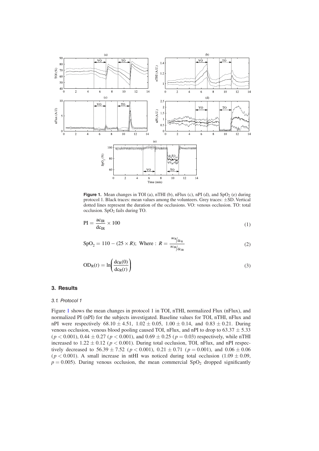<span id="page-5-3"></span>

**Figure 1.** Mean changes in TOI (a), nTHI (b), nFlux (c), nPI (d), and  $SpO<sub>2</sub>$  (e) during protocol 1. Black traces: mean values among the volunteers. Grey traces: ±SD. Vertical dotted lines represent the duration of the occlusions. VO: venous occlusion. TO: total occlusion.  $SpO<sub>2</sub>$  fails during TO.

<span id="page-5-0"></span>
$$
PI = \frac{ac_{IR}}{dc_{IR}} \times 100
$$
 (1)

$$
SpO2 = 110 - (25 \times R); \text{ Where : } R = \frac{\text{ac}_{R}/\text{dc}_{R}}{\text{ac}_{R}/\text{dc}_{R}}
$$
 (2)

<span id="page-5-2"></span><span id="page-5-1"></span>
$$
OD_R(t) = \ln\left(\frac{dc_R(0)}{dc_R(t)}\right)
$$
\n(3)

#### **3. Results**

#### *3.1. Protocol 1*

Figure [1](#page-5-3) shows the mean changes in protocol 1 in TOI, nTHI, normalized Flux (nFlux), and normalized PI (nPI) for the subjects investigated. Baseline values for TOI, nTHI, nFlux and nPI were respectively  $68.10 \pm 4.51$ ,  $1.02 \pm 0.05$ ,  $1.00 \pm 0.14$ , and  $0.83 \pm 0.21$ . During venous occlusion, venous blood pooling caused TOI, nFlux, and nPI to drop to  $63.37 \pm 5.33$  $(p < 0.001)$ ,  $0.44 \pm 0.27$  ( $p < 0.001$ ), and  $0.69 \pm 0.25$  ( $p = 0.03$ ) respectively, while nTHI increased to  $1.22 \pm 0.12$  ( $p < 0.001$ ). During total occlusion, TOI, nFlux, and nPI respectively decreased to  $56.39 \pm 7.52$  ( $p < 0.001$ ),  $0.21 \pm 0.71$  ( $p = 0.001$ ), and  $0.06 \pm 0.06$ ( $p < 0.001$ ). A small increase in ntHI was noticed during total occlusion (1.09  $\pm$  0.09,  $p = 0.005$ ). During venous occlusion, the mean commercial SpO<sub>2</sub> dropped significantly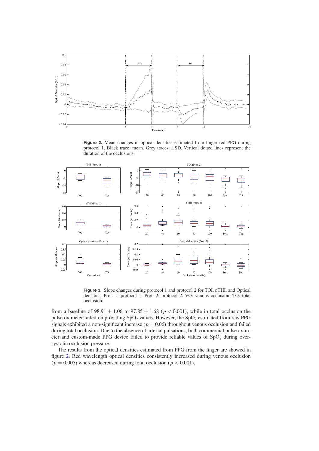<span id="page-6-0"></span>

**Figure 2.** Mean changes in optical densities estimated from finger red PPG during protocol 1. Black trace: mean. Grey traces: ±SD. Vertical dotted lines represent the duration of the occlusions.

<span id="page-6-1"></span>

**Figure 3.** Slope changes during protocol 1 and protocol 2 for TOI, nTHI, and Optical densities. Prot. 1: protocol 1. Prot. 2: protocol 2. VO: venous occlusion. TO: total occlusion.

from a baseline of  $98.91 \pm 1.06$  to  $97.85 \pm 1.68$  ( $p < 0.001$ ), while in total occlusion the pulse oximeter failed on providing  $SpO<sub>2</sub>$  values. However, the  $SpO<sub>2</sub>$  estimated from raw PPG signals exhibited a non-significant increase ( $p = 0.06$ ) throughout venous occlusion and failed during total occlusion. Due to the absence of arterial pulsations, both commercial pulse oximeter and custom-made PPG device failed to provide reliable values of  $SpO<sub>2</sub>$  during oversystolic occlusion pressure.

The results from the optical densities estimated from PPG from the finger are showed in figure [2](#page-6-0). Red wavelength optical densities consistently increased during venous occlusion ( $p = 0.005$ ) whereas decreased during total occlusion ( $p < 0.001$ ).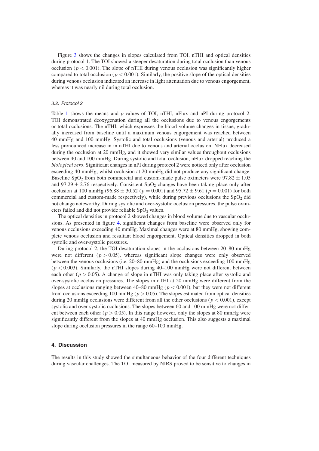Figure [3](#page-6-1) shows the changes in slopes calculated from TOI, nTHI and optical densities during protocol 1. The TOI showed a steeper desaturation during total occlusion than venous occlusion ( $p < 0.001$ ). The slope of nTHI during venous occlusion was significantly higher compared to total occlusion ( $p < 0.001$ ). Similarly, the positive slope of the optical densities during venous occlusion indicated an increase in light attenuation due to venous engorgement, whereas it was nearly nil during total occlusion.

#### *3.2. Protocol 2*

Table [1](#page-8-0) shows the means and *p*-values of TOI, nTHI, nFlux and nPI during protocol 2. TOI demonstrated deoxygenation during all the occlusions due to venous engorgements or total occlusions. The nTHI, which expresses the blood volume changes in tissue, gradually increased from baseline until a maximum venous engorgement was reached between 40 mmHg and 100 mmHg. Systolic and total occlusions (venous and arterial) produced a less pronounced increase in in nTHI due to venous and arterial occlusion. NFlux decreased during the occlusion at 20 mmHg, and it showed very similar values throughout occlusions between 40 and 100 mmHg. During systolic and total occlusion, nFlux dropped reaching the *biological zero*. Significant changes in nPI during protocol 2 were noticed only after occlusion exceeding 40 mmHg, whilst occlusion at 20 mmHg did not produce any significant change. Baseline SpO<sub>2</sub> from both commercial and custom-made pulse oximeters were  $97.82 \pm 1.05$ and 97.29  $\pm$  2.76 respectively. Consistent SpO<sub>2</sub> changes have been taking place only after occlusion at 100 mmHg (96.88  $\pm$  30.52 ( $p = 0.001$ ) and 95.72  $\pm$  9.61 ( $p = 0.001$ ) for both commercial and custom-made respectively), while during previous occlusions the  $SpO<sub>2</sub>$  did not change noteworthy. During systolic and over-systolic occlusion pressures, the pulse oximeters failed and did not provide reliable  $SpO<sub>2</sub>$  values.

The optical densities in protocol 2 showed changes in blood volume due to vascular occlusions. As presented in figure [4](#page-9-0), significant changes from baseline were observed only for venous occlusions exceeding 40 mmHg. Maximal changes were at 80 mmHg, showing complete venous occlusion and resultant blood engorgement. Optical densities dropped in both systolic and over-systolic pressures.

During protocol 2, the TOI desaturation slopes in the occlusions between 20–80 mmHg were not different  $(p > 0.05)$ , whereas significant slope changes were only observed between the venous occlusions (i.e. 20–80 mmHg) and the occlusions exceeding 100 mmHg  $(p < 0.003)$ . Similarly, the nTHI slopes during 40–100 mmHg were not different between each other ( $p > 0.05$ ). A change of slope in nTHI was only taking place after systolic and over-systolic occlusion pressures. The slopes in nTHI at 20 mmHg were different from the slopes at occlusions ranging between  $40-80$  mmHg ( $p < 0.001$ ), but they were not different from occlusions exceeding 100 mmHg ( $p > 0.05$ ). The slopes estimated from optical densities during 20 mmHg occlusions were different from all the other occlusions ( $p < 0.001$ ), except systolic and over-systolic occlusions. The slopes between 60 and 100 mmHg were not different between each other ( $p > 0.05$ ). In this range however, only the slopes at 80 mmHg were significantly different from the slopes at 40 mmHg occlusion. This also suggests a maximal slope during occlusion pressures in the range  $60-100$  mmHg.

#### **4. Discussion**

The results in this study showed the simultaneous behavior of the four different techniques during vascular challenges. The TOI measured by NIRS proved to be sensitive to changes in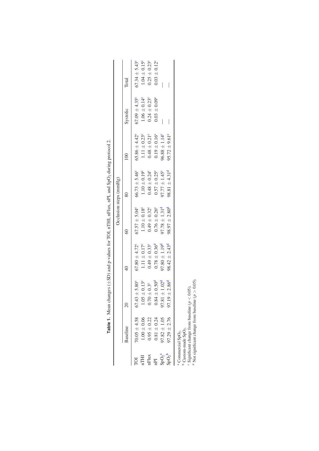|                                      |                                                                 |                              |                               |                          | Occlusion steps (mmHg)   |                          |                              |                          |
|--------------------------------------|-----------------------------------------------------------------|------------------------------|-------------------------------|--------------------------|--------------------------|--------------------------|------------------------------|--------------------------|
|                                      | Baseline                                                        |                              | $\frac{1}{4}$                 | $\odot$                  | $\approx$                | $\frac{100}{2}$          | Systolic                     | Total                    |
|                                      | $70.05 \pm 4.58$                                                | ± 5.80 <sup>c</sup><br>67.43 | $67.80 \pm 4.72^{\circ}$      | $67.57 \pm 5.04^{\circ}$ | $66.73 \pm 5.46^{\circ}$ | $65.86 \pm 4.42^{\circ}$ | $67.09 \pm 4.35^{\circ}$     | $67.34 \pm 5.43^{\circ}$ |
| IHI                                  | $1.00 \pm 0.06$                                                 | $\pm 0.13^{\circ}$           | $1.11 \pm 0.17^{\circ}$       | $1.10 \pm 0.18$ °        | $1.10 \pm 0.19^{\circ}$  | $1.11 \pm 0.23^{\circ}$  | $1.06 \pm 0.14^{\circ}$      | $1.04 \pm 0.15^{\circ}$  |
| nFlux                                | $0.95 \pm 0.22$                                                 | $\pm 0.3^{\circ}$<br>0.70    | $0.49 \pm 0.33$ <sup>c</sup>  | $0.49 \pm 0.32^{\circ}$  | $0.48 \pm 0.24^{\circ}$  | $0.48 \pm 0.21$ °        | $0.24 \pm 0.23$ <sup>c</sup> | $0.25 \pm 0.23^{\circ}$  |
| ΡI                                   | $0.81 \pm 0.24$                                                 | $\pm 0.50^{\rm d}$<br>0.84   | $0.78 \pm 0.36^{\rm d}$       | $0.76 \pm 0.26^{\circ}$  | $0.57 \pm 0.25^{\circ}$  | $0.19 \pm 0.16^{\circ}$  | $0.03 \pm 0.09^{\circ}$      | $0.03 \pm 0.12^{\circ}$  |
| SpO <sub>2</sub> <sup><b>a</b></sup> | $37.82 \pm 1.05$                                                | $\pm 1.02^{\rm d}$<br>97.81  | $97.80 \pm 1.19$ <sup>d</sup> | $97.78 \pm 1.31^d$       | $97.77 \pm 1.45^{\circ}$ | $96.88 \pm 1.14^{\circ}$ | I                            |                          |
| $\mathrm{SpO}_2^{\,b}$               | $97.29 \pm 2.76$                                                | $\pm 2.86^{\rm d}$<br>97.19  | $98.42 \pm 2.43^{\circ}$      | $98.97 \pm 2.80^{\circ}$ | $98.81 \pm 4.31^d$       | $95.72 \pm 9.61^{\circ}$ |                              |                          |
|                                      | Custom-made SpO <sub>2</sub> .<br>Commercial SpO <sub>2</sub> . |                              |                               |                          |                          |                          |                              |                          |

Table 1. Mean changes (±SD) and p-values for TOI, nTHI, nFlux, nPI, and SpO<sub>2</sub> during protocol 2. **Table 1.** Mean changes ( $\pm$ SD) and p-values for TOI, nTHI, nFlux, nPI, and SpO<sub>2</sub> during protocol 2.

<span id="page-8-0"></span> $\epsilon$  Significant change from baseline ( $p < 0.05$ ).

<sup>d</sup> Not significant change from baseline ( $p > 0.05$ ).

<span id="page-8-4"></span><span id="page-8-3"></span><span id="page-8-2"></span><span id="page-8-1"></span> $\circ$   $\sim$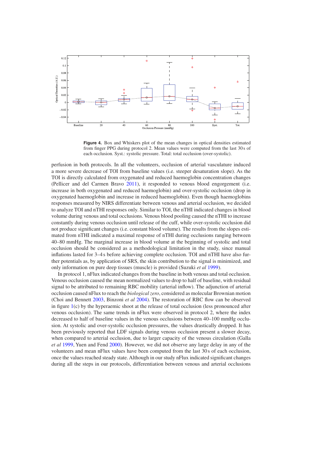<span id="page-9-0"></span>

**Figure 4.** Box and Whiskers plot of the mean changes in optical densities estimated from finger PPG during protocol 2. Mean values were computed from the last 30s of each occlusion. Syst.: systolic pressure. Total: total occlusion (over-systolic).

perfusion in both protocols. In all the volunteers, occlusion of arterial vasculature induced a more severe decrease of TOI from baseline values (i.e. steeper desaturation slope). As the TOI is directly calculated from oxygenated and reduced haemoglobin concentration changes (Pellicer and del Carmen Bravo [2011\)](#page-12-5), it responded to venous blood engorgement (i.e. increase in both oxygenated and reduced haemoglobin) and over-systolic occlusion (drop in oxygenated haemoglobin and increase in reduced haemoglobin). Even though haemoglobins responses measured by NIRS differentiate between venous and arterial occlusion, we decided to analyze TOI and nTHI responses only. Similar to TOI, the nTHI indicated changes in blood volume during venous and total occlusions. Venous blood pooling caused the nTHI to increase constantly during venous occlusion until release of the cuff, while over-systolic occlusion did not produce significant changes (i.e. constant blood volume). The results from the slopes estimated from nTHI indicated a maximal response of nTHI during occlusions ranging between 40–80 mmHg. The marginal increase in blood volume at the beginning of systolic and total occlusion should be considered as a methodological limitation in the study, since manual inflations lasted for 3–4 s before achieving complete occlusion. TOI and nTHI have also further potentials as, by application of SRS, the skin contribution to the signal is minimized, and only information on pure deep tissues (muscle) is provided (Suzuki *et al* [1999](#page-12-17)).

In protocol 1, nFlux indicated changes from the baseline in both venous and total occlusion. Venous occlusion caused the mean normalized values to drop to half of baseline, with residual signal to be attributed to remaining RBC mobility (arterial inflow). The adjunction of arterial occlusion caused nFlux to reach the *biological zero*, considered as molecular Brownian motion (Choi and Bennett [2003](#page-12-6), Binzoni *et al* [2004\)](#page-12-19). The restoration of RBC flow can be observed in figure [1](#page-5-3)(c) by the hyperaemic shoot at the release of total occlusion (less pronounced after venous occlusion). The same trends in nFlux were observed in protocol 2, where the index decreased to half of baseline values in the venous occlusions between 40–100 mmHg occlusion. At systolic and over-systolic occlusion pressures, the values drastically dropped. It has been previously reported that LDF signals during venous occlusion present a slower decay, when compared to arterial occlusion, due to larger capacity of the venous circulation (Galla *et al* [1999,](#page-12-12) Yuen and Fend [2000](#page-12-7)). However, we did not observe any large delay in any of the volunteers and mean nFlux values have been computed from the last 30 s of each occlusion, once the values reached steady state. Although in our study nFlux indicated significant changes during all the steps in our protocols, differentiation between venous and arterial occlusions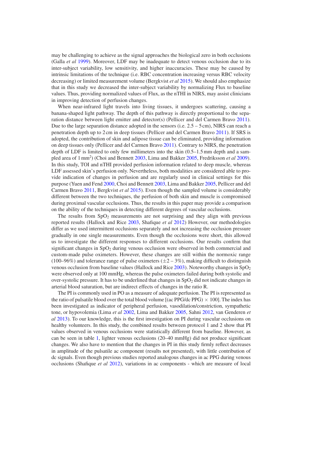may be challenging to achieve as the signal approaches the biological zero in both occlusions (Galla *et al* [1999](#page-12-12)). Moreover, LDF may be inadequate to detect venous occlusion due to its inter-subject variability, low sensitivity, and higher inaccuracies. These may be caused by intrinsic limitations of the technique (i.e. RBC concentration increasing versus RBC velocity decreasing) or limited measurement volume (Bergkvist *et al* [2015\)](#page-11-2). We should also emphasize that in this study we decreased the inter-subject variability by normalizing Flux to baseline values. Thus, providing normalized values of Flux, as the nTHI in NIRS, may assist clinicians in improving detection of perfusion changes.

When near-infrared light travels into living tissues, it undergoes scattering, causing a banana-shaped light pathway. The depth of this pathway is directly proportional to the separation distance between light emitter and detector(s) (Pellicer and del Carmen Bravo [2011](#page-12-5)). Due to the large separation distance adopted in the sensors (i.e.  $2.5 - 5$  cm), NIRS can reach a penetration depth up to 2cm in deep tissues (Pellicer and del Carmen Bravo [2011](#page-12-5)). If SRS is adopted, the contribution of skin and adipose tissue can be eliminated, providing information on deep tissues only (Pellicer and del Carmen Bravo [2011](#page-12-5)). Contrary to NIRS, the penetration depth of LDF is limited to only few millimeters into the skin (0.5–1.5mm depth and a sampled area of 1mm2 ) (Choi and Bennett [2003,](#page-12-6) Lima and Bakker [2005,](#page-12-1) Fredriksson *et al* [2009](#page-12-20)). In this study, TOI and nTHI provided perfusion information related to deep muscle, whereas LDF assessed skin's perfusion only. Nevertheless, both modalities are considered able to provide indication of changes in perfusion and are regularly used in clinical settings for this purpose (Yuen and Fend [2000](#page-12-7), Choi and Bennett [2003](#page-12-6), Lima and Bakker [2005,](#page-12-1) Pellicer and del Carmen Bravo [2011,](#page-12-5) Bergkvist *et al* [2015](#page-11-2)). Even though the sampled volume is considerably different between the two techniques, the perfusion of both skin and muscle is compromised during proximal vascular occlusions. Thus, the results in this paper may provide a comparison on the ability of the techniques in detecting different degrees of vascular occlusions.

The results from  $SpO<sub>2</sub>$  measurements are not surprising and they align with previous reported results (Hallock and Rice [2003](#page-12-13), Shafique *et al* [2012\)](#page-12-21) However, our methodologies differ as we used intermittent occlusions separately and not increasing the occlusion pressure gradually in one single measurements. Even though the occlusions were short, this allowed us to investigate the different responses to different occlusions. Our results confirm that significant changes in SpO<sub>2</sub> during venous occlusion were observed in both commercial and custom-made pulse oximeters. However, these changes are still within the normoxic range (100–96%) and tolerance range of pulse oximeters  $(\pm 2 - 3\%)$ , making difficult to distinguish venous occlusion from baseline values (Hallock and Rice [2003\)](#page-12-13). Noteworthy changes in  $SpO<sub>2</sub>$ were observed only at 100 mmHg, whereas the pulse oximeters failed during both systolic and over-systolic pressure. It has to be underlined that changes in  $SpO<sub>2</sub>$  did not indicate changes in arterial blood saturation, but are indirect effects of changes in the ratio R.

The PI is commonly used in PO as a measure of adequate perfusion. The PI is represented as the ratio of pulsatile blood over the total blood volume [(ac PPG/dc PPG)  $\times$  100]. The index has been investigated as indicator of peripheral perfusion, vasodilation/constriction, sympathetic tone, or hypovolemia (Lima *et al* [2002](#page-12-22), Lima and Bakker [2005](#page-12-1), Sahni [2012,](#page-12-23) van Genderen *et al* [2013](#page-12-24)). To our knowledge, this is the first investigation on PI during vascular occlusions on healthy volunteers. In this study, the combined results between protocol 1 and 2 show that PI values observed in venous occlusions were statistically different from baseline. However, as can be seen in table [1](#page-8-0), lighter venous occlusions (20–40 mmHg) did not produce significant changes. We also have to mention that the changes in PI in this study firmly reflect decreases in amplitude of the pulsatile ac component (results not presented), with little contribution of dc signals. Even though previous studies reported analogous changes in ac PPG during venous occlusions (Shafique *et al* [2012](#page-12-21)), variations in ac components - which are measure of local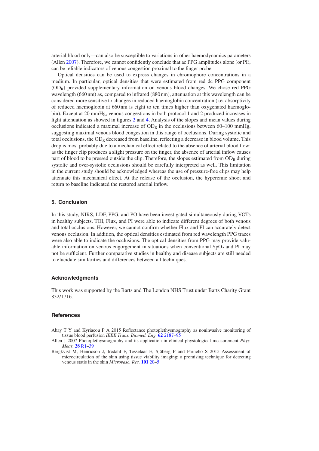arterial blood only—can also be susceptible to variations in other haemodynamics parameters (Allen [2007](#page-11-0)). Therefore, we cannot confidently conclude that ac PPG amplitudes alone (or PI), can be reliable indicators of venous congestion proximal to the finger probe.

Optical densities can be used to express changes in chromophore concentrations in a medium. In particular, optical densities that were estimated from red dc PPG component (ODR) provided supplementary information on venous blood changes. We chose red PPG wavelength (660 nm) as, compared to infrared (880 nm), attenuation at this wavelength can be considered more sensitive to changes in reduced haemoglobin concentration (i.e. absorptivity of reduced haemoglobin at 660 nm is eight to ten times higher than oxygenated haemoglobin). Except at 20 mmHg, venous congestions in both protocol 1 and 2 produced increases in light attenuation as showed in figures [2](#page-6-0) and [4](#page-9-0). Analysis of the slopes and mean values during occlusions indicated a maximal increase of  $OD_R$  in the occlusions between 60–100 mmHg, suggesting maximal venous blood congestion in this range of occlusions. During systolic and total occlusions, the  $OD_R$  decreased from baseline, reflecting a decrease in blood volume. This drop is most probably due to a mechanical effect related to the absence of arterial blood flow: as the finger clip produces a slight pressure on the finger, the absence of arterial inflow causes part of blood to be pressed outside the clip. Therefore, the slopes estimated from  $OD_R$  during systolic and over-systolic occlusions should be carefully interpreted as well. This limitation in the current study should be acknowledged whereas the use of pressure-free clips may help attenuate this mechanical effect. At the release of the occlusion, the hyperemic shoot and return to baseline indicated the restored arterial inflow.

#### **5. Conclusion**

In this study, NIRS, LDF, PPG, and PO have been investigated simultaneously during VOTs in healthy subjects. TOI, Flux, and PI were able to indicate different degrees of both venous and total occlusions. However, we cannot confirm whether Flux and PI can accurately detect venous occlusion. In addition, the optical densities estimated from red wavelength PPG traces were also able to indicate the occlusions. The optical densities from PPG may provide valuable information on venous engorgement in situations when conventional  $SpO<sub>2</sub>$  and PI may not be sufficient. Further comparative studies in healthy and disease subjects are still needed to elucidate similarities and differences between all techniques.

#### **Acknowledgments**

This work was supported by the Barts and The London NHS Trust under Barts Charity Grant 832/1716.

#### **References**

- <span id="page-11-1"></span>Abay T Y and Kyriacou P A 2015 Reflectance photoplethysmography as noninvasive monitoring of tissue blood perfusion *IEEE Trans. Biomed. Eng.* **[62](http://dx.doi.org/10.1109/TBME.2015.2417863)** [2187](http://dx.doi.org/10.1109/TBME.2015.2417863)–[95](http://dx.doi.org/10.1109/TBME.2015.2417863)
- <span id="page-11-0"></span>Allen J 2007 Photoplethysmography and its application in clinical physiological measurement *Phys. Meas.* **[28](http://dx.doi.org/10.1088/0967-3334/28/3/R01)** [R1](http://dx.doi.org/10.1088/0967-3334/28/3/R01)–[39](http://dx.doi.org/10.1088/0967-3334/28/3/R01)
- <span id="page-11-2"></span>Bergkvist M, Henricson J, Iredahl F, Tesselaar E, Sjöberg F and Farnebo S 2015 Assessment of microcirculation of the skin using tissue viability imaging: a promising technique for detecting venous statis in the skin *Microvasc. Res.* **[101](http://dx.doi.org/10.1016/j.mvr.2015.06.002)** [20](http://dx.doi.org/10.1016/j.mvr.2015.06.002)–[5](http://dx.doi.org/10.1016/j.mvr.2015.06.002)